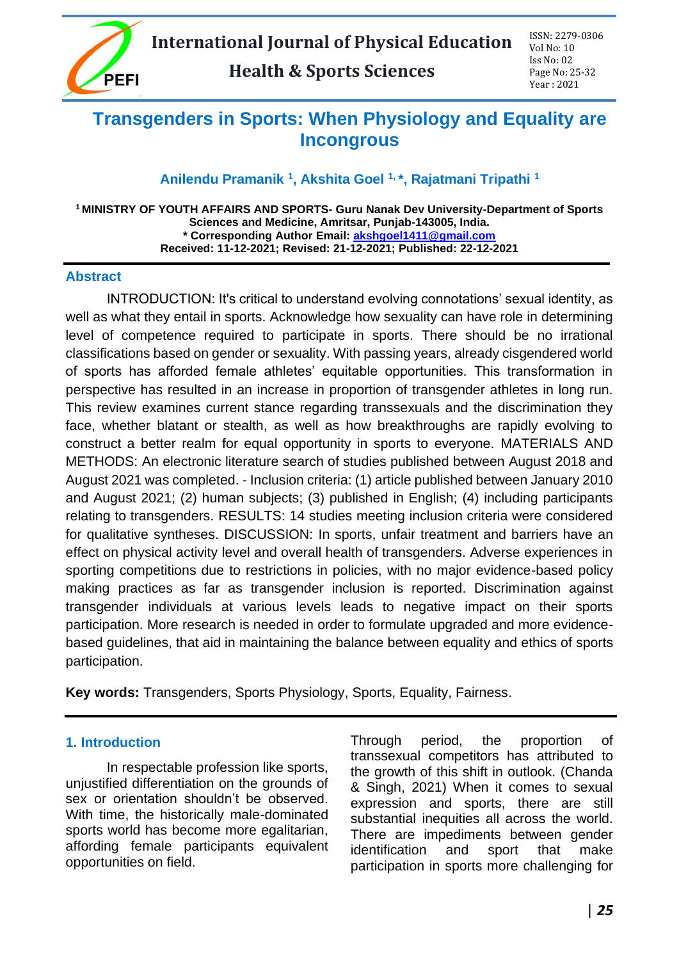

# Page No: 25-32

## **Transgenders in Sports: When Physiology and Equality are Incongrous**

### **Anilendu Pramanik <sup>1</sup> , Akshita Goel 1, \*, Rajatmani Tripathi <sup>1</sup>**

**<sup>1</sup> MINISTRY OF YOUTH AFFAIRS AND SPORTS- Guru Nanak Dev University-Department of Sports Sciences and Medicine, Amritsar, Punjab-143005, India. \* Corresponding Author Email: [akshgoel1411@gmail.com](mailto:akshgoel1411@gmail.com) Received: 11-12-2021; Revised: 21-12-2021; Published: 22-12-2021**

#### **Abstract**

INTRODUCTION: It's critical to understand evolving connotations' sexual identity, as well as what they entail in sports. Acknowledge how sexuality can have role in determining level of competence required to participate in sports. There should be no irrational classifications based on gender or sexuality. With passing years, already cisgendered world of sports has afforded female athletes' equitable opportunities. This transformation in perspective has resulted in an increase in proportion of transgender athletes in long run. This review examines current stance regarding transsexuals and the discrimination they face, whether blatant or stealth, as well as how breakthroughs are rapidly evolving to construct a better realm for equal opportunity in sports to everyone. MATERIALS AND METHODS: An electronic literature search of studies published between August 2018 and August 2021 was completed. - Inclusion criteria: (1) article published between January 2010 and August 2021; (2) human subjects; (3) published in English; (4) including participants relating to transgenders. RESULTS: 14 studies meeting inclusion criteria were considered for qualitative syntheses. DISCUSSION: In sports, unfair treatment and barriers have an effect on physical activity level and overall health of transgenders. Adverse experiences in sporting competitions due to restrictions in policies, with no major evidence-based policy making practices as far as transgender inclusion is reported. Discrimination against transgender individuals at various levels leads to negative impact on their sports participation. More research is needed in order to formulate upgraded and more evidencebased guidelines, that aid in maintaining the balance between equality and ethics of sports participation.

**Key words:** Transgenders, Sports Physiology, Sports, Equality, Fairness.

#### **1. Introduction**

In respectable profession like sports, unjustified differentiation on the grounds of sex or orientation shouldn't be observed. With time, the historically male-dominated sports world has become more egalitarian, affording female participants equivalent opportunities on field.

Through period, the proportion of transsexual competitors has attributed to the growth of this shift in outlook. (Chanda & Singh, 2021) When it comes to sexual expression and sports, there are still substantial inequities all across the world. There are impediments between gender identification and sport that make participation in sports more challenging for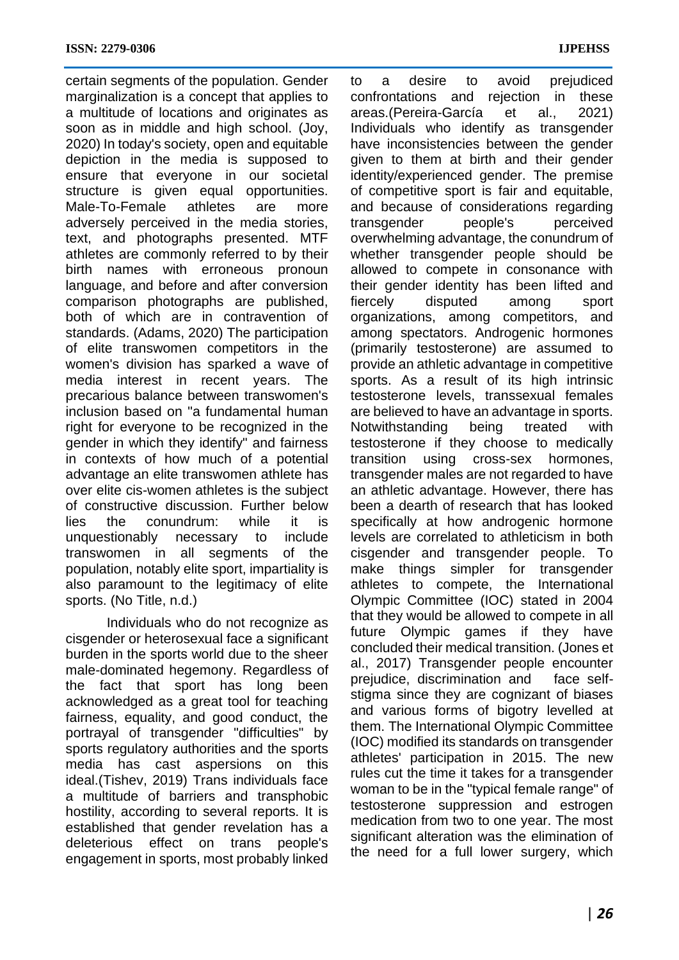certain segments of the population. Gender marginalization is a concept that applies to a multitude of locations and originates as soon as in middle and high school. (Joy, 2020) In today's society, open and equitable depiction in the media is supposed to ensure that everyone in our societal structure is given equal opportunities.<br>Male-To-Female athletes are more Male-To-Female athletes are more adversely perceived in the media stories, text, and photographs presented. MTF athletes are commonly referred to by their birth names with erroneous pronoun language, and before and after conversion comparison photographs are published, both of which are in contravention of standards. (Adams, 2020) The participation of elite transwomen competitors in the women's division has sparked a wave of media interest in recent years. The precarious balance between transwomen's inclusion based on "a fundamental human right for everyone to be recognized in the gender in which they identify" and fairness in contexts of how much of a potential advantage an elite transwomen athlete has over elite cis-women athletes is the subject of constructive discussion. Further below lies the conundrum: while it is unquestionably necessary to include transwomen in all segments of the population, notably elite sport, impartiality is also paramount to the legitimacy of elite sports. (No Title, n.d.)

Individuals who do not recognize as cisgender or heterosexual face a significant burden in the sports world due to the sheer male-dominated hegemony. Regardless of the fact that sport has long been acknowledged as a great tool for teaching fairness, equality, and good conduct, the portrayal of transgender "difficulties" by sports regulatory authorities and the sports media has cast aspersions on this ideal.(Tishev, 2019) Trans individuals face a multitude of barriers and transphobic hostility, according to several reports. It is established that gender revelation has a deleterious effect on trans people's engagement in sports, most probably linked

to a desire to avoid prejudiced confrontations and rejection in these areas.(Pereira-García et al., 2021) Individuals who identify as transgender have inconsistencies between the gender given to them at birth and their gender identity/experienced gender. The premise of competitive sport is fair and equitable, and because of considerations regarding transgender people's perceived overwhelming advantage, the conundrum of whether transgender people should be allowed to compete in consonance with their gender identity has been lifted and fiercely disputed among sport organizations, among competitors, and among spectators. Androgenic hormones (primarily testosterone) are assumed to provide an athletic advantage in competitive sports. As a result of its high intrinsic testosterone levels, transsexual females are believed to have an advantage in sports. Notwithstanding being treated with testosterone if they choose to medically transition using cross-sex hormones, transgender males are not regarded to have an athletic advantage. However, there has been a dearth of research that has looked specifically at how androgenic hormone levels are correlated to athleticism in both cisgender and transgender people. To make things simpler for transgender athletes to compete, the International Olympic Committee (IOC) stated in 2004 that they would be allowed to compete in all future Olympic games if they have concluded their medical transition. (Jones et al., 2017) Transgender people encounter prejudice, discrimination and face selfstigma since they are cognizant of biases and various forms of bigotry levelled at them. The International Olympic Committee (IOC) modified its standards on transgender athletes' participation in 2015. The new rules cut the time it takes for a transgender woman to be in the "typical female range" of testosterone suppression and estrogen medication from two to one year. The most significant alteration was the elimination of the need for a full lower surgery, which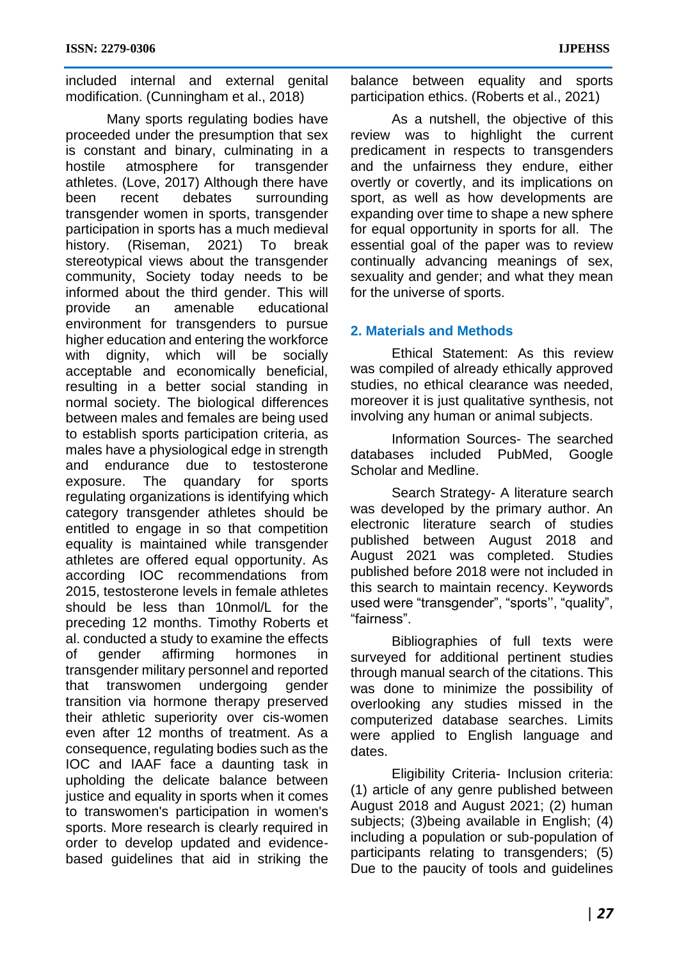included internal and external genital modification. (Cunningham et al., 2018)

Many sports regulating bodies have proceeded under the presumption that sex is constant and binary, culminating in a hostile atmosphere for transgender athletes. (Love, 2017) Although there have been recent debates surrounding transgender women in sports, transgender participation in sports has a much medieval history. (Riseman, 2021) To break stereotypical views about the transgender community, Society today needs to be informed about the third gender. This will provide an amenable educational environment for transgenders to pursue higher education and entering the workforce with dignity, which will be socially acceptable and economically beneficial, resulting in a better social standing in normal society. The biological differences between males and females are being used to establish sports participation criteria, as males have a physiological edge in strength and endurance due to testosterone exposure. The quandary for sports regulating organizations is identifying which category transgender athletes should be entitled to engage in so that competition equality is maintained while transgender athletes are offered equal opportunity. As according IOC recommendations from 2015, testosterone levels in female athletes should be less than 10nmol/L for the preceding 12 months. Timothy Roberts et al. conducted a study to examine the effects of gender affirming hormones in transgender military personnel and reported that transwomen undergoing gender transition via hormone therapy preserved their athletic superiority over cis-women even after 12 months of treatment. As a consequence, regulating bodies such as the IOC and IAAF face a daunting task in upholding the delicate balance between justice and equality in sports when it comes to transwomen's participation in women's sports. More research is clearly required in order to develop updated and evidencebased guidelines that aid in striking the balance between equality and sports participation ethics. (Roberts et al., 2021)

As a nutshell, the objective of this review was to highlight the current predicament in respects to transgenders and the unfairness they endure, either overtly or covertly, and its implications on sport, as well as how developments are expanding over time to shape a new sphere for equal opportunity in sports for all. The essential goal of the paper was to review continually advancing meanings of sex, sexuality and gender; and what they mean for the universe of sports.

#### **2. Materials and Methods**

Ethical Statement: As this review was compiled of already ethically approved studies, no ethical clearance was needed, moreover it is just qualitative synthesis, not involving any human or animal subjects.

Information Sources- The searched databases included PubMed, Google Scholar and Medline.

Search Strategy- A literature search was developed by the primary author. An electronic literature search of studies published between August 2018 and August 2021 was completed. Studies published before 2018 were not included in this search to maintain recency. Keywords used were "transgender", "sports'', "quality", "fairness".

Bibliographies of full texts were surveyed for additional pertinent studies through manual search of the citations. This was done to minimize the possibility of overlooking any studies missed in the computerized database searches. Limits were applied to English language and dates.

Eligibility Criteria- Inclusion criteria: (1) article of any genre published between August 2018 and August 2021; (2) human subjects; (3)being available in English; (4) including a population or sub-population of participants relating to transgenders; (5) Due to the paucity of tools and guidelines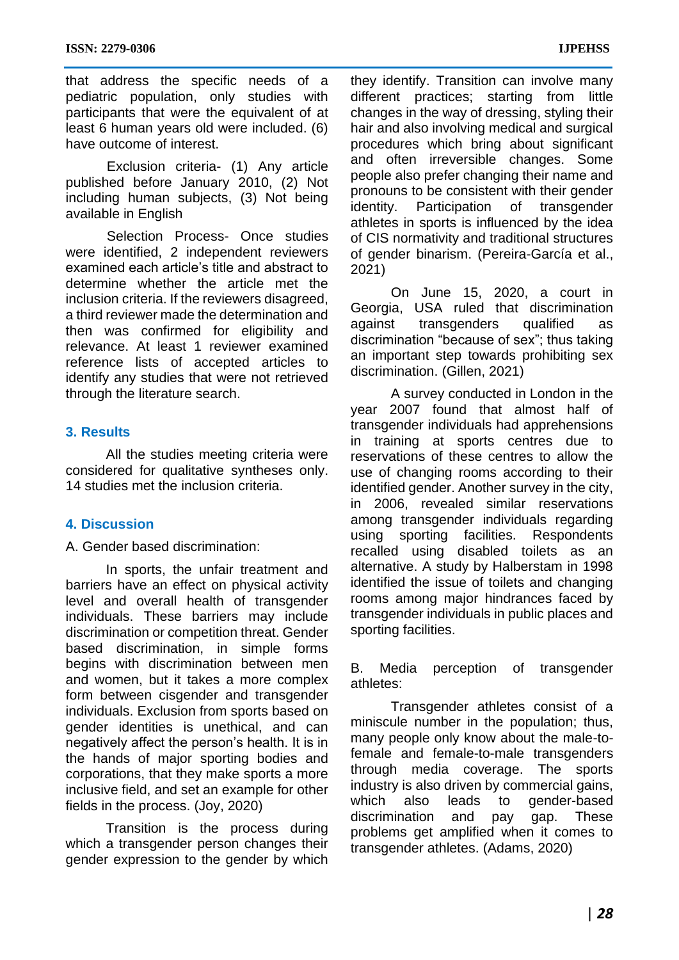that address the specific needs of a pediatric population, only studies with participants that were the equivalent of at least 6 human years old were included. (6) have outcome of interest.

Exclusion criteria- (1) Any article published before January 2010, (2) Not including human subjects, (3) Not being available in English

Selection Process- Once studies were identified, 2 independent reviewers examined each article's title and abstract to determine whether the article met the inclusion criteria. If the reviewers disagreed, a third reviewer made the determination and then was confirmed for eligibility and relevance. At least 1 reviewer examined reference lists of accepted articles to identify any studies that were not retrieved through the literature search.

#### **3. Results**

All the studies meeting criteria were considered for qualitative syntheses only. 14 studies met the inclusion criteria.

#### **4. Discussion**

A. Gender based discrimination:

In sports, the unfair treatment and barriers have an effect on physical activity level and overall health of transgender individuals. These barriers may include discrimination or competition threat. Gender based discrimination, in simple forms begins with discrimination between men and women, but it takes a more complex form between cisgender and transgender individuals. Exclusion from sports based on gender identities is unethical, and can negatively affect the person's health. It is in the hands of major sporting bodies and corporations, that they make sports a more inclusive field, and set an example for other fields in the process. (Joy, 2020)

Transition is the process during which a transgender person changes their gender expression to the gender by which they identify. Transition can involve many different practices; starting from little changes in the way of dressing, styling their hair and also involving medical and surgical procedures which bring about significant and often irreversible changes. Some people also prefer changing their name and pronouns to be consistent with their gender identity. Participation of transgender athletes in sports is influenced by the idea of CIS normativity and traditional structures of gender binarism. (Pereira-García et al., 2021)

On June 15, 2020, a court in Georgia, USA ruled that discrimination against transgenders qualified as discrimination "because of sex"; thus taking an important step towards prohibiting sex discrimination. (Gillen, 2021)

A survey conducted in London in the year 2007 found that almost half of transgender individuals had apprehensions in training at sports centres due to reservations of these centres to allow the use of changing rooms according to their identified gender. Another survey in the city, in 2006, revealed similar reservations among transgender individuals regarding using sporting facilities. Respondents recalled using disabled toilets as an alternative. A study by Halberstam in 1998 identified the issue of toilets and changing rooms among major hindrances faced by transgender individuals in public places and sporting facilities.

B. Media perception of transgender athletes:

Transgender athletes consist of a miniscule number in the population; thus, many people only know about the male-tofemale and female-to-male transgenders through media coverage. The sports industry is also driven by commercial gains, which also leads to gender-based discrimination and pay gap. These problems get amplified when it comes to transgender athletes. (Adams, 2020)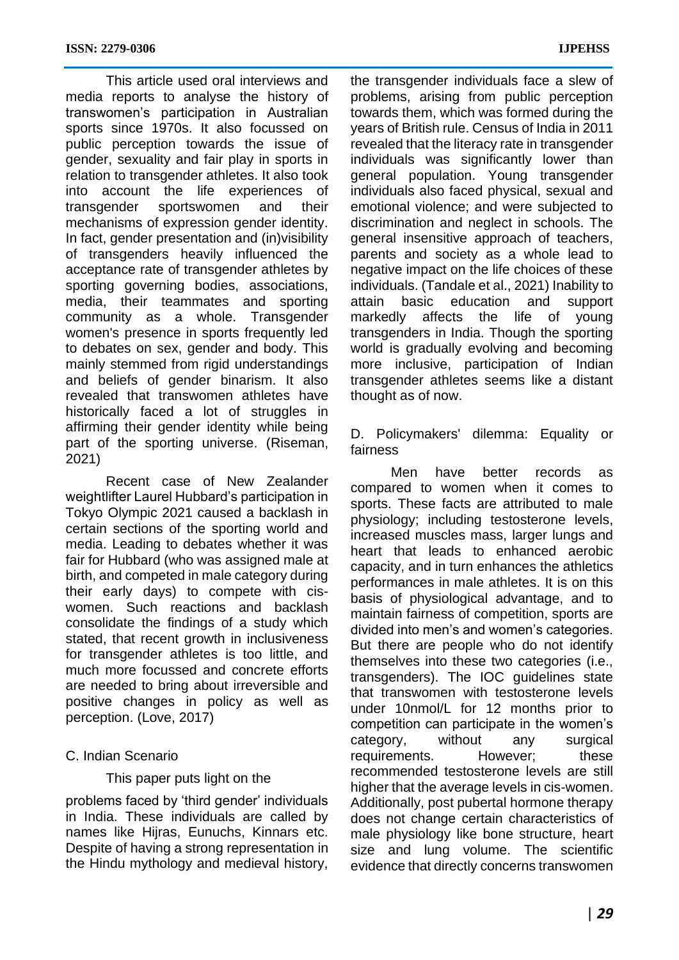This article used oral interviews and media reports to analyse the history of transwomen's participation in Australian sports since 1970s. It also focussed on public perception towards the issue of gender, sexuality and fair play in sports in relation to transgender athletes. It also took into account the life experiences of transgender sportswomen and their mechanisms of expression gender identity. In fact, gender presentation and (in)visibility of transgenders heavily influenced the acceptance rate of transgender athletes by sporting governing bodies, associations, media, their teammates and sporting community as a whole. Transgender women's presence in sports frequently led to debates on sex, gender and body. This mainly stemmed from rigid understandings and beliefs of gender binarism. It also revealed that transwomen athletes have historically faced a lot of struggles in affirming their gender identity while being part of the sporting universe. (Riseman, 2021)

Recent case of New Zealander weightlifter Laurel Hubbard's participation in Tokyo Olympic 2021 caused a backlash in certain sections of the sporting world and media. Leading to debates whether it was fair for Hubbard (who was assigned male at birth, and competed in male category during their early days) to compete with ciswomen. Such reactions and backlash consolidate the findings of a study which stated, that recent growth in inclusiveness for transgender athletes is too little, and much more focussed and concrete efforts are needed to bring about irreversible and positive changes in policy as well as perception. (Love, 2017)

C. Indian Scenario

#### This paper puts light on the

problems faced by 'third gender' individuals in India. These individuals are called by names like Hijras, Eunuchs, Kinnars etc. Despite of having a strong representation in the Hindu mythology and medieval history,

the transgender individuals face a slew of problems, arising from public perception towards them, which was formed during the years of British rule. Census of India in 2011 revealed that the literacy rate in transgender individuals was significantly lower than general population. Young transgender individuals also faced physical, sexual and emotional violence; and were subjected to discrimination and neglect in schools. The general insensitive approach of teachers, parents and society as a whole lead to negative impact on the life choices of these individuals. (Tandale et al., 2021) Inability to attain basic education and support markedly affects the life of young transgenders in India. Though the sporting world is gradually evolving and becoming more inclusive, participation of Indian transgender athletes seems like a distant thought as of now.

D. Policymakers' dilemma: Equality or fairness

Men have better records as compared to women when it comes to sports. These facts are attributed to male physiology; including testosterone levels, increased muscles mass, larger lungs and heart that leads to enhanced aerobic capacity, and in turn enhances the athletics performances in male athletes. It is on this basis of physiological advantage, and to maintain fairness of competition, sports are divided into men's and women's categories. But there are people who do not identify themselves into these two categories (i.e., transgenders). The IOC guidelines state that transwomen with testosterone levels under 10nmol/L for 12 months prior to competition can participate in the women's category, without any surgical requirements. However: these recommended testosterone levels are still higher that the average levels in cis-women. Additionally, post pubertal hormone therapy does not change certain characteristics of male physiology like bone structure, heart size and lung volume. The scientific evidence that directly concerns transwomen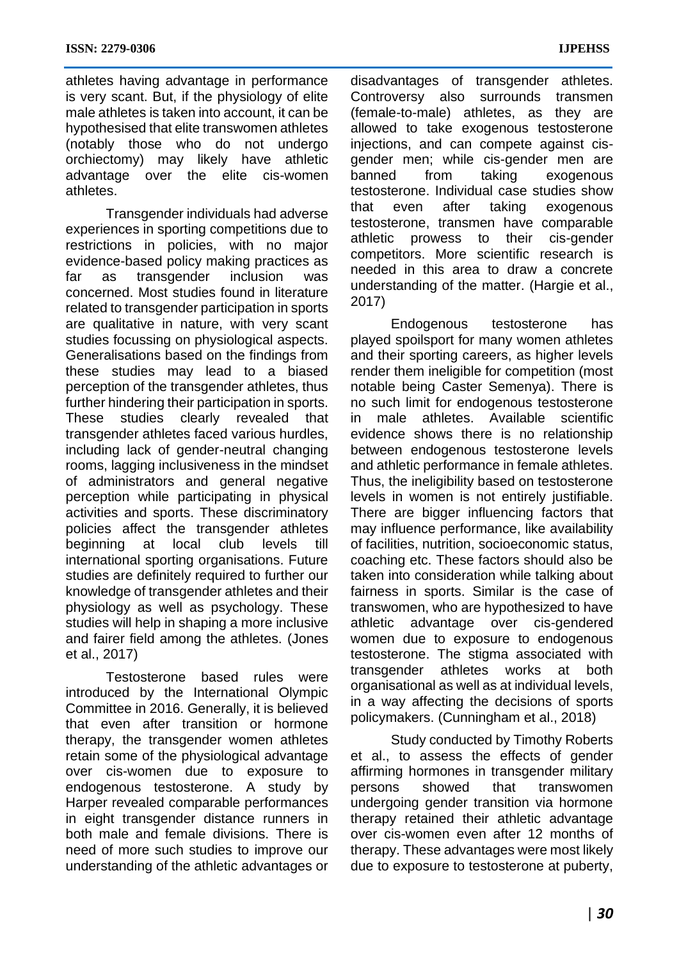athletes having advantage in performance is very scant. But, if the physiology of elite male athletes is taken into account, it can be hypothesised that elite transwomen athletes (notably those who do not undergo orchiectomy) may likely have athletic advantage over the elite cis-women athletes.

Transgender individuals had adverse experiences in sporting competitions due to restrictions in policies, with no major evidence-based policy making practices as far as transgender inclusion was concerned. Most studies found in literature related to transgender participation in sports are qualitative in nature, with very scant studies focussing on physiological aspects. Generalisations based on the findings from these studies may lead to a biased perception of the transgender athletes, thus further hindering their participation in sports. These studies clearly revealed that transgender athletes faced various hurdles, including lack of gender-neutral changing rooms, lagging inclusiveness in the mindset of administrators and general negative perception while participating in physical activities and sports. These discriminatory policies affect the transgender athletes beginning at local club levels till international sporting organisations. Future studies are definitely required to further our knowledge of transgender athletes and their physiology as well as psychology. These studies will help in shaping a more inclusive and fairer field among the athletes. (Jones et al., 2017)

Testosterone based rules were introduced by the International Olympic Committee in 2016. Generally, it is believed that even after transition or hormone therapy, the transgender women athletes retain some of the physiological advantage over cis-women due to exposure to endogenous testosterone. A study by Harper revealed comparable performances in eight transgender distance runners in both male and female divisions. There is need of more such studies to improve our understanding of the athletic advantages or

disadvantages of transgender athletes. Controversy also surrounds transmen (female-to-male) athletes, as they are allowed to take exogenous testosterone injections, and can compete against cisgender men; while cis-gender men are banned from taking exogenous testosterone. Individual case studies show that even after taking exogenous testosterone, transmen have comparable athletic prowess to their cis-gender competitors. More scientific research is needed in this area to draw a concrete understanding of the matter. (Hargie et al., 2017)

Endogenous testosterone has played spoilsport for many women athletes and their sporting careers, as higher levels render them ineligible for competition (most notable being Caster Semenya). There is no such limit for endogenous testosterone in male athletes. Available scientific evidence shows there is no relationship between endogenous testosterone levels and athletic performance in female athletes. Thus, the ineligibility based on testosterone levels in women is not entirely justifiable. There are bigger influencing factors that may influence performance, like availability of facilities, nutrition, socioeconomic status, coaching etc. These factors should also be taken into consideration while talking about fairness in sports. Similar is the case of transwomen, who are hypothesized to have athletic advantage over cis-gendered women due to exposure to endogenous testosterone. The stigma associated with transgender athletes works at both organisational as well as at individual levels, in a way affecting the decisions of sports policymakers. (Cunningham et al., 2018)

Study conducted by Timothy Roberts et al., to assess the effects of gender affirming hormones in transgender military persons showed that transwomen undergoing gender transition via hormone therapy retained their athletic advantage over cis-women even after 12 months of therapy. These advantages were most likely due to exposure to testosterone at puberty,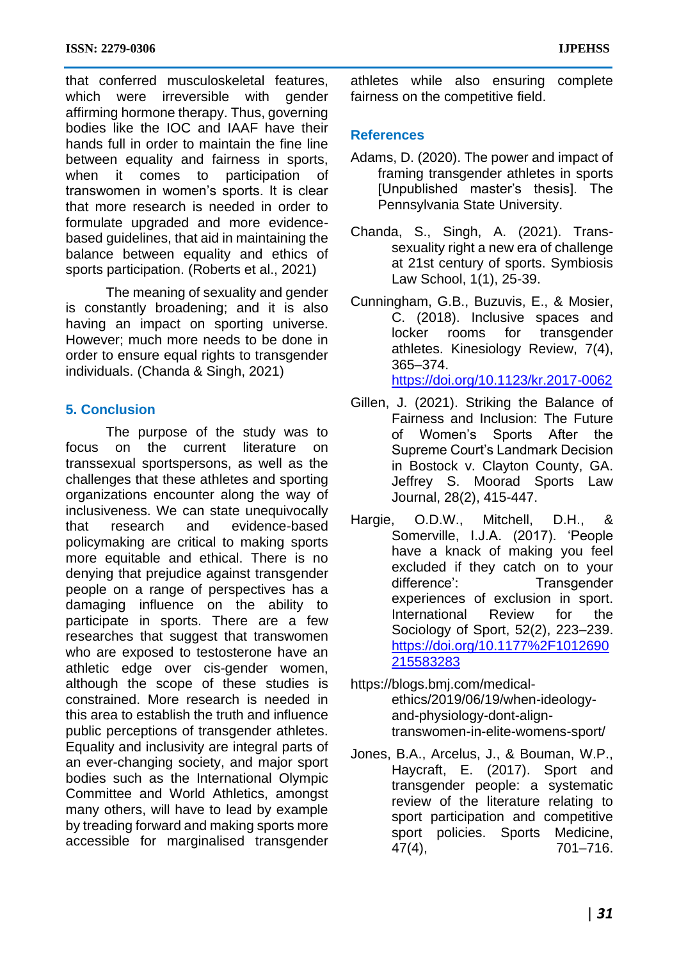that conferred musculoskeletal features, which were irreversible with gender affirming hormone therapy. Thus, governing bodies like the IOC and IAAF have their hands full in order to maintain the fine line between equality and fairness in sports, when it comes to participation of transwomen in women's sports. It is clear that more research is needed in order to formulate upgraded and more evidencebased guidelines, that aid in maintaining the balance between equality and ethics of sports participation. (Roberts et al., 2021)

The meaning of sexuality and gender is constantly broadening; and it is also having an impact on sporting universe. However; much more needs to be done in order to ensure equal rights to transgender individuals. (Chanda & Singh, 2021)

#### **5. Conclusion**

The purpose of the study was to focus on the current literature on transsexual sportspersons, as well as the challenges that these athletes and sporting organizations encounter along the way of inclusiveness. We can state unequivocally that research and evidence-based policymaking are critical to making sports more equitable and ethical. There is no denying that prejudice against transgender people on a range of perspectives has a damaging influence on the ability to participate in sports. There are a few researches that suggest that transwomen who are exposed to testosterone have an athletic edge over cis-gender women, although the scope of these studies is constrained. More research is needed in this area to establish the truth and influence public perceptions of transgender athletes. Equality and inclusivity are integral parts of an ever-changing society, and major sport bodies such as the International Olympic Committee and World Athletics, amongst many others, will have to lead by example by treading forward and making sports more accessible for marginalised transgender

athletes while also ensuring complete fairness on the competitive field.

#### **References**

- Adams, D. (2020). The power and impact of framing transgender athletes in sports [Unpublished master's thesis]. The Pennsylvania State University.
- Chanda, S., Singh, A. (2021). Transsexuality right a new era of challenge at 21st century of sports. Symbiosis Law School, 1(1), 25-39.
- Cunningham, G.B., Buzuvis, E., & Mosier, C. (2018). Inclusive spaces and locker rooms for transgender athletes. Kinesiology Review, 7(4), 365–374. <https://doi.org/10.1123/kr.2017-0062>
- Gillen, J. (2021). Striking the Balance of Fairness and Inclusion: The Future of Women's Sports After the Supreme Court's Landmark Decision in Bostock v. Clayton County, GA. Jeffrey S. Moorad Sports Law Journal, 28(2), 415-447.
- Hargie, O.D.W., Mitchell, D.H., & Somerville, I.J.A. (2017). 'People have a knack of making you feel excluded if they catch on to your difference': Transgender experiences of exclusion in sport. International Review for the Sociology of Sport, 52(2), 223–239. [https://doi.org/10.1177%2F1012690](https://doi.org/10.1177%2F1012690215583283) [215583283](https://doi.org/10.1177%2F1012690215583283)
- https://blogs.bmj.com/medicalethics/2019/06/19/when-ideologyand-physiology-dont-aligntranswomen-in-elite-womens-sport/
- Jones, B.A., Arcelus, J., & Bouman, W.P., Haycraft, E. (2017). Sport and transgender people: a systematic review of the literature relating to sport participation and competitive sport policies. Sports Medicine, 47(4), 701–716.